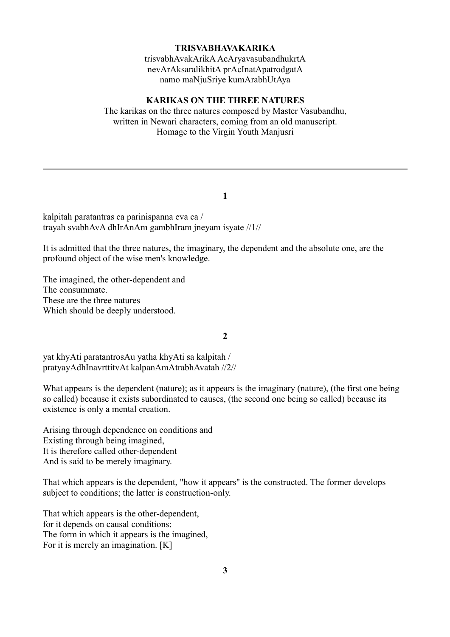### **TRISVABHAVAKARIKA**

trisvabhAvakArikA AcAryavasubandhukrtA nevArAksaralikhitA prAcInatApatrodgatA namo maNjuSriye kumArabhUtAya

#### **KARIKAS ON THE THREE NATURES**

The karikas on the three natures composed by Master Vasubandhu, written in Newari characters, coming from an old manuscript. Homage to the Virgin Youth Manjusri

#### **1**

kalpitah paratantras ca parinispanna eva ca / trayah svabhAvA dhIrAnAm gambhIram jneyam isyate //1//

It is admitted that the three natures, the imaginary, the dependent and the absolute one, are the profound object of the wise men's knowledge.

The imagined, the other-dependent and The consummate. These are the three natures Which should be deeply understood.

### **2**

yat khyAti paratantrosAu yatha khyAti sa kalpitah / pratyayAdhInavrttitvAt kalpanAmAtrabhAvatah //2//

What appears is the dependent (nature); as it appears is the imaginary (nature), (the first one being so called) because it exists subordinated to causes, (the second one being so called) because its existence is only a mental creation.

Arising through dependence on conditions and Existing through being imagined, It is therefore called other-dependent And is said to be merely imaginary.

That which appears is the dependent, "how it appears" is the constructed. The former develops subject to conditions; the latter is construction-only.

That which appears is the other-dependent, for it depends on causal conditions; The form in which it appears is the imagined, For it is merely an imagination. [K]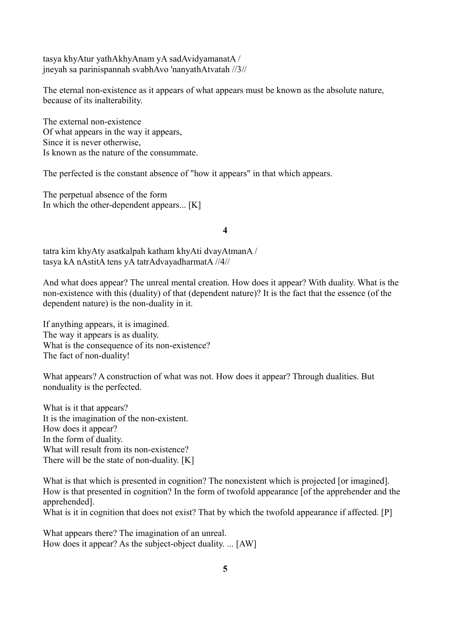tasya khyAtur yathAkhyAnam yA sadAvidyamanatA / jneyah sa parinispannah svabhAvo 'nanyathAtvatah //3//

The eternal non-existence as it appears of what appears must be known as the absolute nature, because of its inalterability.

The external non-existence Of what appears in the way it appears, Since it is never otherwise, Is known as the nature of the consummate.

The perfected is the constant absence of "how it appears" in that which appears.

The perpetual absence of the form In which the other-dependent appears... [K]

### **4**

tatra kim khyAty asatkalpah katham khyAti dvayAtmanA / tasya kA nAstitA tens yA tatrAdvayadharmatA //4//

And what does appear? The unreal mental creation. How does it appear? With duality. What is the non-existence with this (duality) of that (dependent nature)? It is the fact that the essence (of the dependent nature) is the non-duality in it.

If anything appears, it is imagined. The way it appears is as duality. What is the consequence of its non-existence? The fact of non-duality!

What appears? A construction of what was not. How does it appear? Through dualities. But nonduality is the perfected.

What is it that appears? It is the imagination of the non-existent. How does it appear? In the form of duality. What will result from its non-existence? There will be the state of non-duality. [K]

What is that which is presented in cognition? The nonexistent which is projected [or imagined]. How is that presented in cognition? In the form of twofold appearance [of the apprehender and the apprehended].

What is it in cognition that does not exist? That by which the twofold appearance if affected. [P]

What appears there? The imagination of an unreal. How does it appear? As the subject-object duality. ... [AW]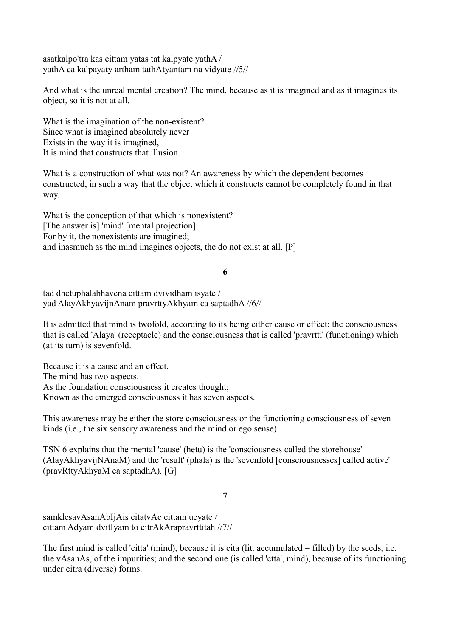asatkalpo'tra kas cittam yatas tat kalpyate yathA / yathA ca kalpayaty artham tathAtyantam na vidyate //5//

And what is the unreal mental creation? The mind, because as it is imagined and as it imagines its object, so it is not at all.

What is the imagination of the non-existent? Since what is imagined absolutely never Exists in the way it is imagined, It is mind that constructs that illusion.

What is a construction of what was not? An awareness by which the dependent becomes constructed, in such a way that the object which it constructs cannot be completely found in that way.

What is the conception of that which is nonexistent? [The answer is] 'mind' [mental projection] For by it, the nonexistents are imagined; and inasmuch as the mind imagines objects, the do not exist at all. [P]

**6**

tad dhetuphalabhavena cittam dvividham isyate / yad AlayAkhyavijnAnam pravrttyAkhyam ca saptadhA //6//

It is admitted that mind is twofold, according to its being either cause or effect: the consciousness that is called 'Alaya' (receptacle) and the consciousness that is called 'pravrtti' (functioning) which (at its turn) is sevenfold.

Because it is a cause and an effect, The mind has two aspects. As the foundation consciousness it creates thought; Known as the emerged consciousness it has seven aspects.

This awareness may be either the store consciousness or the functioning consciousness of seven kinds (i.e., the six sensory awareness and the mind or ego sense)

TSN 6 explains that the mental 'cause' (hetu) is the 'consciousness called the storehouse' (AlayAkhyavijNAnaM) and the 'result' (phala) is the 'sevenfold [consciousnesses] called active' (pravRttyAkhyaM ca saptadhA). [G]

# **7**

samklesavAsanAbIjAis citatvAc cittam ucyate / cittam Adyam dvitIyam to citrAkArapravrttitah //7//

The first mind is called 'citta' (mind), because it is cita (lit. accumulated = filled) by the seeds, i.e. the vAsanAs, of the impurities; and the second one (is called 'ctta', mind), because of its functioning under citra (diverse) forms.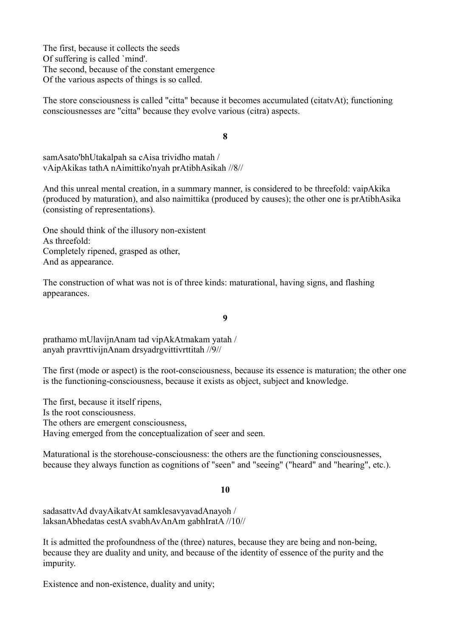The first, because it collects the seeds Of suffering is called `mind'. The second, because of the constant emergence Of the various aspects of things is so called.

The store consciousness is called "citta" because it becomes accumulated (citatvAt); functioning consciousnesses are "citta" because they evolve various (citra) aspects.

**8**

samAsato'bhUtakalpah sa cAisa trividho matah / vAipAkikas tathA nAimittiko'nyah prAtibhAsikah //8//

And this unreal mental creation, in a summary manner, is considered to be threefold: vaipAkika (produced by maturation), and also naimittika (produced by causes); the other one is prAtibhAsika (consisting of representations).

One should think of the illusory non-existent As threefold: Completely ripened, grasped as other, And as appearance.

The construction of what was not is of three kinds: maturational, having signs, and flashing appearances.

**9**

prathamo mUlavijnAnam tad vipAkAtmakam yatah / anyah pravrttivijnAnam drsyadrgvittivrttitah //9//

The first (mode or aspect) is the root-consciousness, because its essence is maturation; the other one is the functioning-consciousness, because it exists as object, subject and knowledge.

The first, because it itself ripens, Is the root consciousness. The others are emergent consciousness, Having emerged from the conceptualization of seer and seen.

Maturational is the storehouse-consciousness: the others are the functioning consciousnesses, because they always function as cognitions of "seen" and "seeing" ("heard" and "hearing", etc.).

#### **10**

sadasattvAd dvayAikatvAt samklesavyavadAnayoh / laksanAbhedatas cestA svabhAvAnAm gabhIratA //10//

It is admitted the profoundness of the (three) natures, because they are being and non-being, because they are duality and unity, and because of the identity of essence of the purity and the impurity.

Existence and non-existence, duality and unity;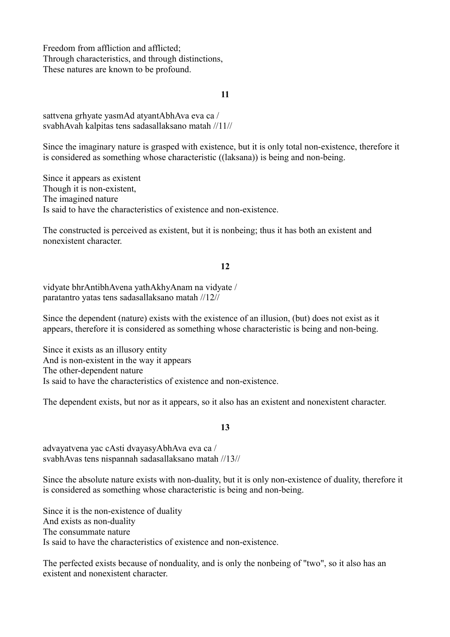Freedom from affliction and afflicted; Through characteristics, and through distinctions, These natures are known to be profound.

### **11**

sattvena grhyate yasmAd atyantAbhAva eva ca / svabhAvah kalpitas tens sadasallaksano matah //11//

Since the imaginary nature is grasped with existence, but it is only total non-existence, therefore it is considered as something whose characteristic ((laksana)) is being and non-being.

Since it appears as existent Though it is non-existent, The imagined nature Is said to have the characteristics of existence and non-existence.

The constructed is perceived as existent, but it is nonbeing; thus it has both an existent and nonexistent character.

# **12**

vidyate bhrAntibhAvena yathAkhyAnam na vidyate / paratantro yatas tens sadasallaksano matah //12//

Since the dependent (nature) exists with the existence of an illusion, (but) does not exist as it appears, therefore it is considered as something whose characteristic is being and non-being.

Since it exists as an illusory entity And is non-existent in the way it appears The other-dependent nature Is said to have the characteristics of existence and non-existence.

The dependent exists, but nor as it appears, so it also has an existent and nonexistent character.

### **13**

advayatvena yac cAsti dvayasyAbhAva eva ca / svabhAvas tens nispannah sadasallaksano matah //13//

Since the absolute nature exists with non-duality, but it is only non-existence of duality, therefore it is considered as something whose characteristic is being and non-being.

Since it is the non-existence of duality And exists as non-duality The consummate nature Is said to have the characteristics of existence and non-existence.

The perfected exists because of nonduality, and is only the nonbeing of "two", so it also has an existent and nonexistent character.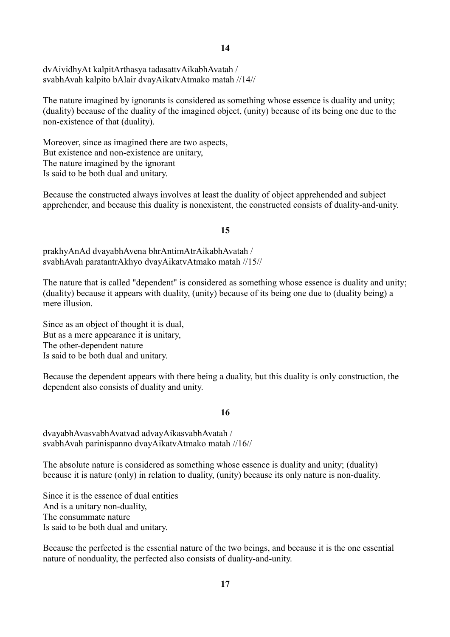**14**

dvAividhyAt kalpitArthasya tadasattvAikabhAvatah / svabhAvah kalpito bAlair dvayAikatvAtmako matah //14//

The nature imagined by ignorants is considered as something whose essence is duality and unity; (duality) because of the duality of the imagined object, (unity) because of its being one due to the non-existence of that (duality).

Moreover, since as imagined there are two aspects, But existence and non-existence are unitary, The nature imagined by the ignorant Is said to be both dual and unitary.

Because the constructed always involves at least the duality of object apprehended and subject apprehender, and because this duality is nonexistent, the constructed consists of duality-and-unity.

# **15**

prakhyAnAd dvayabhAvena bhrAntimAtrAikabhAvatah / svabhAvah paratantrAkhyo dvayAikatvAtmako matah //15//

The nature that is called "dependent" is considered as something whose essence is duality and unity; (duality) because it appears with duality, (unity) because of its being one due to (duality being) a mere illusion.

Since as an object of thought it is dual, But as a mere appearance it is unitary, The other-dependent nature Is said to be both dual and unitary.

Because the dependent appears with there being a duality, but this duality is only construction, the dependent also consists of duality and unity.

# **16**

dvayabhAvasvabhAvatvad advayAikasvabhAvatah / svabhAvah parinispanno dvayAikatvAtmako matah //16//

The absolute nature is considered as something whose essence is duality and unity; (duality) because it is nature (only) in relation to duality, (unity) because its only nature is non-duality.

Since it is the essence of dual entities And is a unitary non-duality, The consummate nature Is said to be both dual and unitary.

Because the perfected is the essential nature of the two beings, and because it is the one essential nature of nonduality, the perfected also consists of duality-and-unity.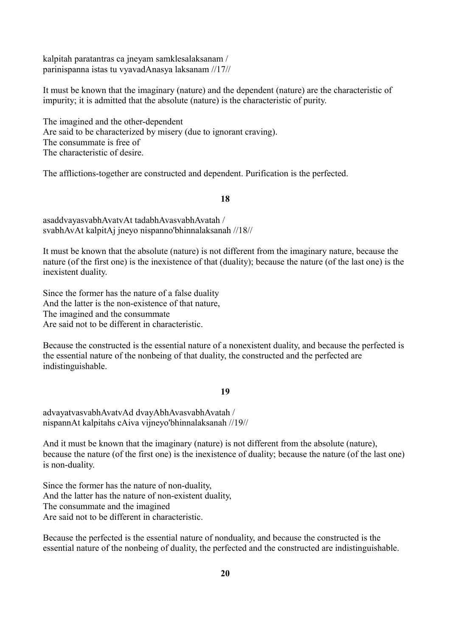kalpitah paratantras ca jneyam samklesalaksanam / parinispanna istas tu vyavadAnasya laksanam //17//

It must be known that the imaginary (nature) and the dependent (nature) are the characteristic of impurity; it is admitted that the absolute (nature) is the characteristic of purity.

The imagined and the other-dependent Are said to be characterized by misery (due to ignorant craving). The consummate is free of The characteristic of desire.

The afflictions-together are constructed and dependent. Purification is the perfected.

### **18**

asaddvayasvabhAvatvAt tadabhAvasvabhAvatah / svabhAvAt kalpitAj jneyo nispanno'bhinnalaksanah //18//

It must be known that the absolute (nature) is not different from the imaginary nature, because the nature (of the first one) is the inexistence of that (duality); because the nature (of the last one) is the inexistent duality.

Since the former has the nature of a false duality And the latter is the non-existence of that nature, The imagined and the consummate Are said not to be different in characteristic.

Because the constructed is the essential nature of a nonexistent duality, and because the perfected is the essential nature of the nonbeing of that duality, the constructed and the perfected are indistinguishable.

#### **19**

advayatvasvabhAvatvAd dvayAbhAvasvabhAvatah / nispannAt kalpitahs cAiva vijneyo'bhinnalaksanah //19//

And it must be known that the imaginary (nature) is not different from the absolute (nature), because the nature (of the first one) is the inexistence of duality; because the nature (of the last one) is non-duality.

Since the former has the nature of non-duality, And the latter has the nature of non-existent duality, The consummate and the imagined Are said not to be different in characteristic.

Because the perfected is the essential nature of nonduality, and because the constructed is the essential nature of the nonbeing of duality, the perfected and the constructed are indistinguishable.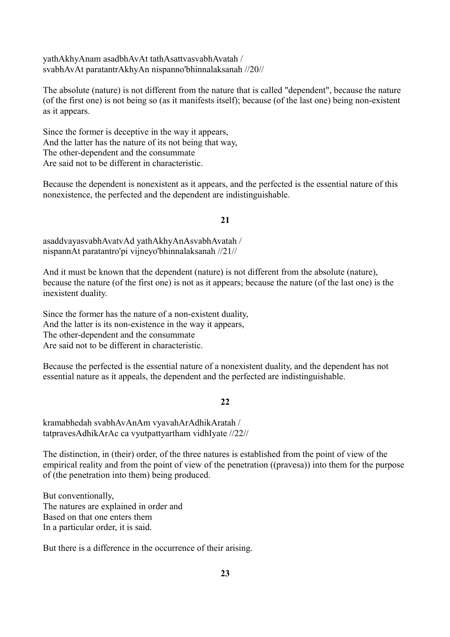yathAkhyAnam asadbhAvAt tathAsattvasvabhAvatah / svabhAvAt paratantrAkhyAn nispanno'bhinnalaksanah //20//

The absolute (nature) is not different from the nature that is called "dependent", because the nature (of the first one) is not being so (as it manifests itself); because (of the last one) being non-existent as it appears.

Since the former is deceptive in the way it appears, And the latter has the nature of its not being that way, The other-dependent and the consummate Are said not to be different in characteristic.

Because the dependent is nonexistent as it appears, and the perfected is the essential nature of this nonexistence, the perfected and the dependent are indistinguishable.

## **21**

asaddvayasvabhAvatvAd yathAkhyAnAsvabhAvatah / nispannAt paratantro'pi vijneyo'bhinnalaksanah //21//

And it must be known that the dependent (nature) is not different from the absolute (nature), because the nature (of the first one) is not as it appears; because the nature (of the last one) is the inexistent duality.

Since the former has the nature of a non-existent duality, And the latter is its non-existence in the way it appears, The other-dependent and the consummate Are said not to be different in characteristic.

Because the perfected is the essential nature of a nonexistent duality, and the dependent has not essential nature as it appeals, the dependent and the perfected are indistinguishable.

#### **22**

kramabhedah svabhAvAnAm vyavahArAdhikAratah / tatpravesAdhikArAc ca vyutpattyartham vidhIyate //22//

The distinction, in (their) order, of the three natures is established from the point of view of the empirical reality and from the point of view of the penetration ((pravesa)) into them for the purpose of (the penetration into them) being produced.

But conventionally, The natures are explained in order and Based on that one enters them In a particular order, it is said.

But there is a difference in the occurrence of their arising.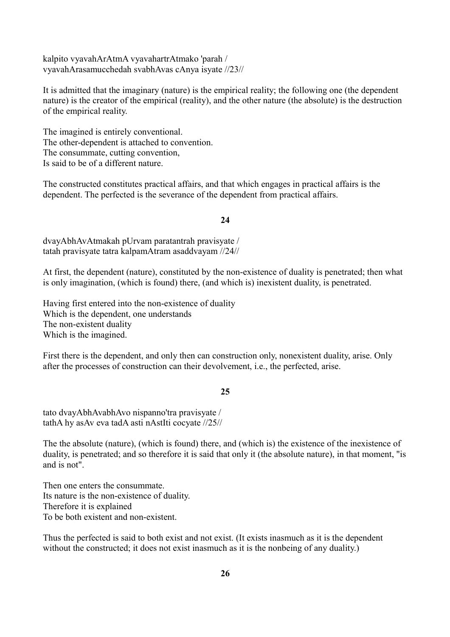kalpito vyavahArAtmA vyavahartrAtmako 'parah / vyavahArasamucchedah svabhAvas cAnya isyate //23//

It is admitted that the imaginary (nature) is the empirical reality; the following one (the dependent nature) is the creator of the empirical (reality), and the other nature (the absolute) is the destruction of the empirical reality.

The imagined is entirely conventional. The other-dependent is attached to convention. The consummate, cutting convention, Is said to be of a different nature.

The constructed constitutes practical affairs, and that which engages in practical affairs is the dependent. The perfected is the severance of the dependent from practical affairs.

## **24**

dvayAbhAvAtmakah pUrvam paratantrah pravisyate / tatah pravisyate tatra kalpamAtram asaddvayam //24//

At first, the dependent (nature), constituted by the non-existence of duality is penetrated; then what is only imagination, (which is found) there, (and which is) inexistent duality, is penetrated.

Having first entered into the non-existence of duality Which is the dependent, one understands The non-existent duality Which is the imagined.

First there is the dependent, and only then can construction only, nonexistent duality, arise. Only after the processes of construction can their devolvement, i.e., the perfected, arise.

#### **25**

tato dvayAbhAvabhAvo nispanno'tra pravisyate / tathA hy asAv eva tadA asti nAstIti cocyate //25//

The the absolute (nature), (which is found) there, and (which is) the existence of the inexistence of duality, is penetrated; and so therefore it is said that only it (the absolute nature), in that moment, "is and is not".

Then one enters the consummate. Its nature is the non-existence of duality. Therefore it is explained To be both existent and non-existent.

Thus the perfected is said to both exist and not exist. (It exists inasmuch as it is the dependent without the constructed; it does not exist inasmuch as it is the nonbeing of any duality.)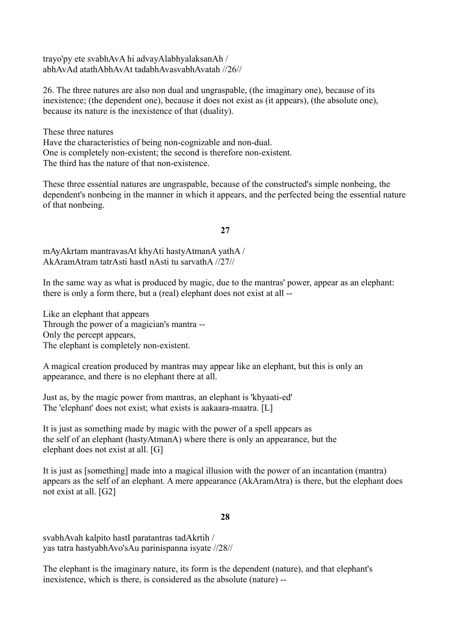trayo'py ete svabhAvA hi advayAlabhyalaksanAh / abhAvAd atathAbhAvAt tadabhAvasvabhAvatah //26//

26. The three natures are also non dual and ungraspable, (the imaginary one), because of its inexistence; (the dependent one), because it does not exist as (it appears), (the absolute one), because its nature is the inexistence of that (duality).

These three natures

Have the characteristics of being non-cognizable and non-dual. One is completely non-existent; the second is therefore non-existent. The third has the nature of that non-existence.

These three essential natures are ungraspable, because of the constructed's simple nonbeing, the dependent's nonbeing in the manner in which it appears, and the perfected being the essential nature of that nonbeing.

### **27**

mAyAkrtam mantravasAt khyAti hastyAtmanA yathA / AkAramAtram tatrAsti hastI nAsti tu sarvathA //27//

In the same way as what is produced by magic, due to the mantras' power, appear as an elephant: there is only a form there, but a (real) elephant does not exist at all --

Like an elephant that appears Through the power of a magician's mantra -- Only the percept appears, The elephant is completely non-existent.

A magical creation produced by mantras may appear like an elephant, but this is only an appearance, and there is no elephant there at all.

Just as, by the magic power from mantras, an elephant is 'khyaati-ed' The 'elephant' does not exist; what exists is aakaara-maatra. [L]

It is just as something made by magic with the power of a spell appears as the self of an elephant (hastyAtmanA) where there is only an appearance, but the elephant does not exist at all. [G]

It is just as [something] made into a magical illusion with the power of an incantation (mantra) appears as the self of an elephant. A mere appearance (AkAramAtra) is there, but the elephant does not exist at all. [G2]

#### **28**

svabhAvah kalpito hastI paratantras tadAkrtih / yas tatra hastyabhAvo'sAu parinispanna isyate //28//

The elephant is the imaginary nature, its form is the dependent (nature), and that elephant's inexistence, which is there, is considered as the absolute (nature) --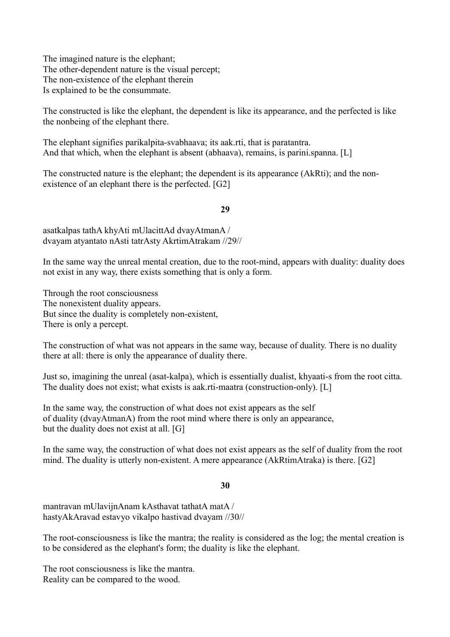The imagined nature is the elephant; The other-dependent nature is the visual percept; The non-existence of the elephant therein Is explained to be the consummate.

The constructed is like the elephant, the dependent is like its appearance, and the perfected is like the nonbeing of the elephant there.

The elephant signifies parikalpita-svabhaava; its aak.rti, that is paratantra. And that which, when the elephant is absent (abhaava), remains, is parini.spanna. [L]

The constructed nature is the elephant; the dependent is its appearance (AkRti); and the nonexistence of an elephant there is the perfected. [G2]

# **29**

asatkalpas tathA khyAti mUlacittAd dvayAtmanA / dvayam atyantato nAsti tatrAsty AkrtimAtrakam //29//

In the same way the unreal mental creation, due to the root-mind, appears with duality: duality does not exist in any way, there exists something that is only a form.

Through the root consciousness The nonexistent duality appears. But since the duality is completely non-existent, There is only a percept.

The construction of what was not appears in the same way, because of duality. There is no duality there at all: there is only the appearance of duality there.

Just so, imagining the unreal (asat-kalpa), which is essentially dualist, khyaati-s from the root citta. The duality does not exist; what exists is aak.rti-maatra (construction-only). [L]

In the same way, the construction of what does not exist appears as the self of duality (dvayAtmanA) from the root mind where there is only an appearance, but the duality does not exist at all. [G]

In the same way, the construction of what does not exist appears as the self of duality from the root mind. The duality is utterly non-existent. A mere appearance (AkRtimAtraka) is there. [G2]

# **30**

mantravan mUlavijnAnam kAsthavat tathatA matA / hastyAkAravad estavyo vikalpo hastivad dvayam //30//

The root-consciousness is like the mantra; the reality is considered as the log; the mental creation is to be considered as the elephant's form; the duality is like the elephant.

The root consciousness is like the mantra. Reality can be compared to the wood.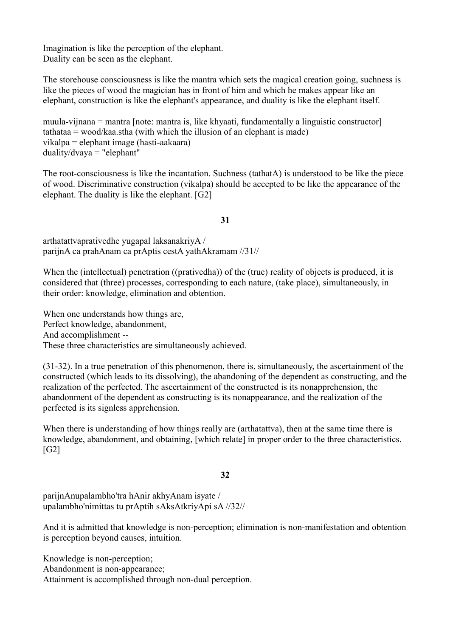Imagination is like the perception of the elephant. Duality can be seen as the elephant.

The storehouse consciousness is like the mantra which sets the magical creation going, suchness is like the pieces of wood the magician has in front of him and which he makes appear like an elephant, construction is like the elephant's appearance, and duality is like the elephant itself.

muula-vijnana = mantra [note: mantra is, like khyaati, fundamentally a linguistic constructor]  $tathataa = wood/kaa.stha (with which the illusion of an elephant is made)$ vikalpa = elephant image (hasti-aakaara) duality/dvaya = "elephant"

The root-consciousness is like the incantation. Suchness (tathatA) is understood to be like the piece of wood. Discriminative construction (vikalpa) should be accepted to be like the appearance of the elephant. The duality is like the elephant. [G2]

# **31**

arthatattvaprativedhe yugapal laksanakriyA / parijnA ca prahAnam ca prAptis cestA yathAkramam //31//

When the (intellectual) penetration ((prativedha)) of the (true) reality of objects is produced, it is considered that (three) processes, corresponding to each nature, (take place), simultaneously, in their order: knowledge, elimination and obtention.

When one understands how things are, Perfect knowledge, abandonment, And accomplishment -- These three characteristics are simultaneously achieved.

(31-32). In a true penetration of this phenomenon, there is, simultaneously, the ascertainment of the constructed (which leads to its dissolving), the abandoning of the dependent as constructing, and the realization of the perfected. The ascertainment of the constructed is its nonapprehension, the abandonment of the dependent as constructing is its nonappearance, and the realization of the perfected is its signless apprehension.

When there is understanding of how things really are (arthatattva), then at the same time there is knowledge, abandonment, and obtaining, [which relate] in proper order to the three characteristics. [G2]

# **32**

parijnAnupalambho'tra hAnir akhyAnam isyate / upalambho'nimittas tu prAptih sAksAtkriyApi sA //32//

And it is admitted that knowledge is non-perception; elimination is non-manifestation and obtention is perception beyond causes, intuition.

Knowledge is non-perception; Abandonment is non-appearance; Attainment is accomplished through non-dual perception.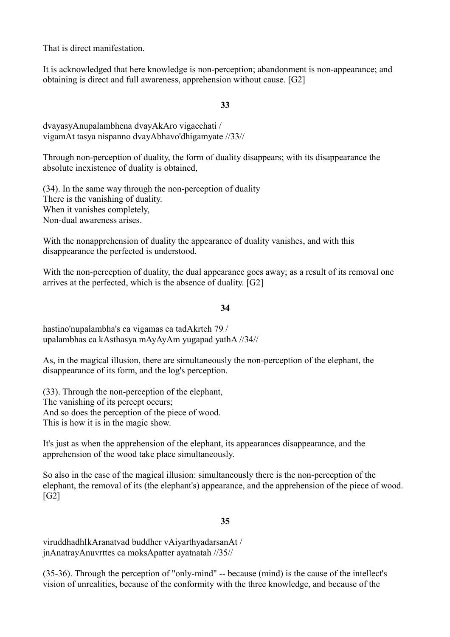That is direct manifestation.

It is acknowledged that here knowledge is non-perception; abandonment is non-appearance; and obtaining is direct and full awareness, apprehension without cause. [G2]

# **33**

dvayasyAnupalambhena dvayAkAro vigacchati / vigamAt tasya nispanno dvayAbhavo'dhigamyate //33//

Through non-perception of duality, the form of duality disappears; with its disappearance the absolute inexistence of duality is obtained,

(34). In the same way through the non-perception of duality There is the vanishing of duality. When it vanishes completely, Non-dual awareness arises.

With the nonapprehension of duality the appearance of duality vanishes, and with this disappearance the perfected is understood.

With the non-perception of duality, the dual appearance goes away; as a result of its removal one arrives at the perfected, which is the absence of duality. [G2]

# **34**

hastino'nupalambha's ca vigamas ca tadAkrteh 79 / upalambhas ca kAsthasya mAyAyAm yugapad yathA //34//

As, in the magical illusion, there are simultaneously the non-perception of the elephant, the disappearance of its form, and the log's perception.

(33). Through the non-perception of the elephant, The vanishing of its percept occurs; And so does the perception of the piece of wood. This is how it is in the magic show.

It's just as when the apprehension of the elephant, its appearances disappearance, and the apprehension of the wood take place simultaneously.

So also in the case of the magical illusion: simultaneously there is the non-perception of the elephant, the removal of its (the elephant's) appearance, and the apprehension of the piece of wood. [G2]

# **35**

viruddhadhIkAranatvad buddher vAiyarthyadarsanAt / jnAnatrayAnuvrttes ca moksApatter ayatnatah //35//

(35-36). Through the perception of "only-mind" -- because (mind) is the cause of the intellect's vision of unrealities, because of the conformity with the three knowledge, and because of the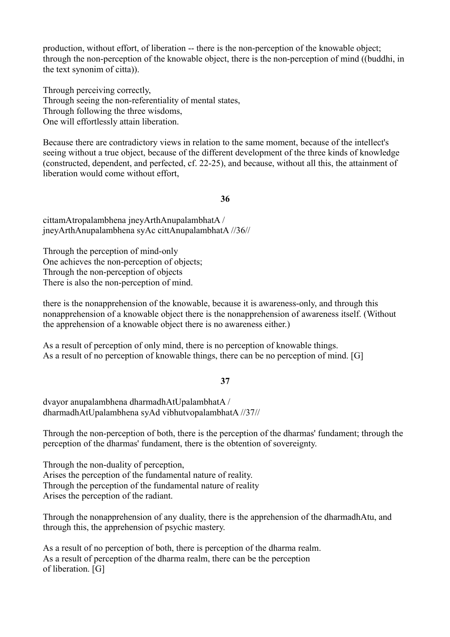production, without effort, of liberation -- there is the non-perception of the knowable object; through the non-perception of the knowable object, there is the non-perception of mind ((buddhi, in the text synonim of citta)).

Through perceiving correctly, Through seeing the non-referentiality of mental states, Through following the three wisdoms, One will effortlessly attain liberation.

Because there are contradictory views in relation to the same moment, because of the intellect's seeing without a true object, because of the different development of the three kinds of knowledge (constructed, dependent, and perfected, cf. 22-25), and because, without all this, the attainment of liberation would come without effort,

#### **36**

cittamAtropalambhena jneyArthAnupalambhatA / jneyArthAnupalambhena syAc cittAnupalambhatA //36//

Through the perception of mind-only One achieves the non-perception of objects; Through the non-perception of objects There is also the non-perception of mind.

there is the nonapprehension of the knowable, because it is awareness-only, and through this nonapprehension of a knowable object there is the nonapprehension of awareness itself. (Without the apprehension of a knowable object there is no awareness either.)

As a result of perception of only mind, there is no perception of knowable things. As a result of no perception of knowable things, there can be no perception of mind. [G]

#### **37**

dvayor anupalambhena dharmadhAtUpalambhatA / dharmadhAtUpalambhena syAd vibhutvopalambhatA //37//

Through the non-perception of both, there is the perception of the dharmas' fundament; through the perception of the dharmas' fundament, there is the obtention of sovereignty.

Through the non-duality of perception, Arises the perception of the fundamental nature of reality. Through the perception of the fundamental nature of reality Arises the perception of the radiant.

Through the nonapprehension of any duality, there is the apprehension of the dharmadhAtu, and through this, the apprehension of psychic mastery.

As a result of no perception of both, there is perception of the dharma realm. As a result of perception of the dharma realm, there can be the perception of liberation. [G]